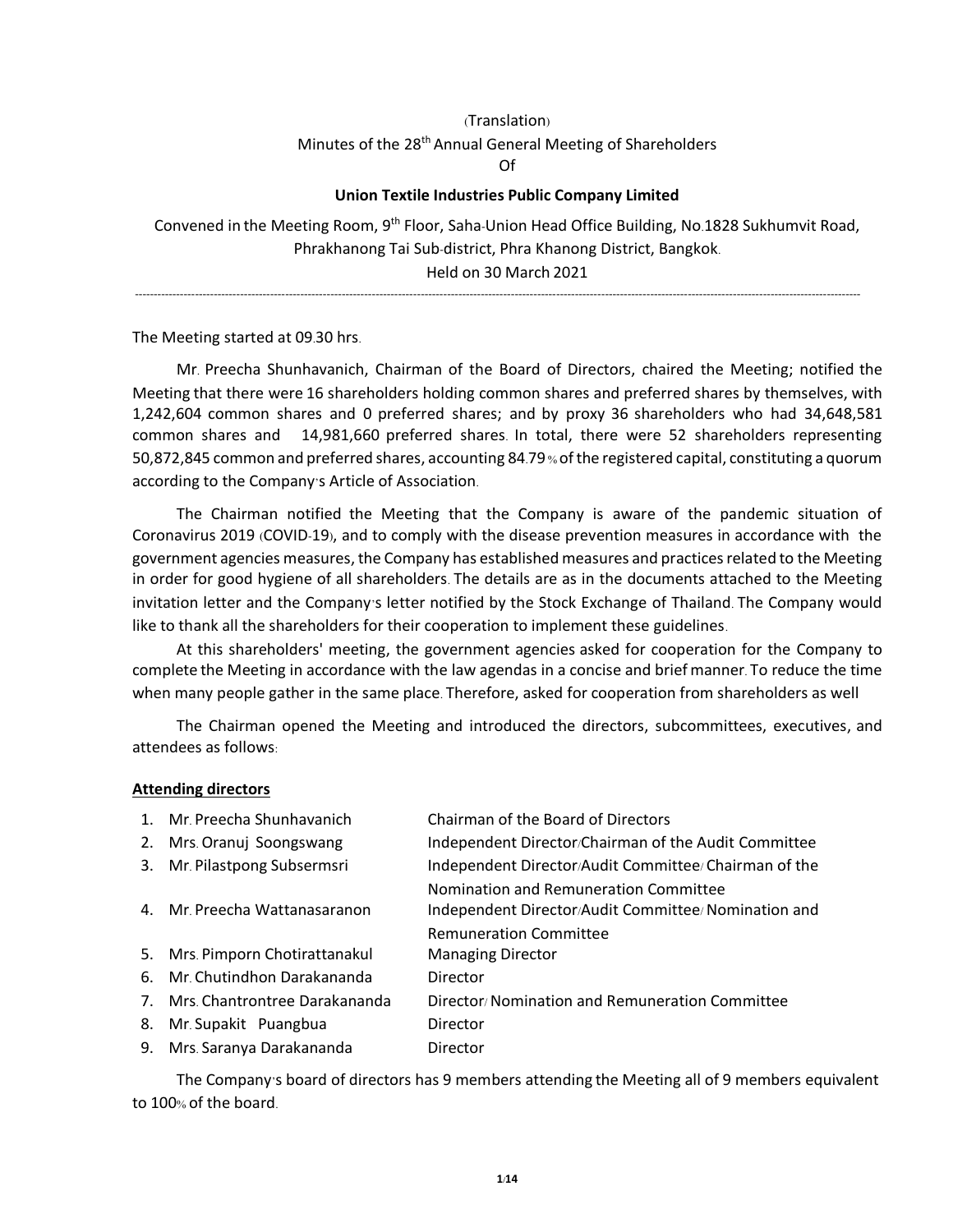# (Translation) Minutes of the 28<sup>th</sup> Annual General Meeting of Shareholders Of

### **Union Textile Industries Public Company Limited**

Convened in the Meeting Room, 9th Floor, Saha-Union Head Office Building, No.1828 Sukhumvit Road, Phrakhanong Tai Sub-district, Phra Khanong District, Bangkok. Held on 30 March 2021

-------------------------------------------------------------------------------------------------------------------------------------------------------------------------------------------------

The Meeting started at 09.30 hrs.

Mr. Preecha Shunhavanich, Chairman of the Board of Directors, chaired the Meeting; notified the Meeting that there were 16 shareholders holding common shares and preferred shares by themselves, with 1,242,604 common shares and 0 preferred shares; and by proxy 36 shareholders who had 34,648,581 common shares and 14,981,660 preferred shares. In total, there were 52 shareholders representing 50,872,845 common and preferred shares, accounting 84.79% of the registered capital, constituting a quorum according to the Company's Article of Association.

The Chairman notified the Meeting that the Company is aware of the pandemic situation of Coronavirus 2019 (COVID-19), and to comply with the disease prevention measures in accordance with the government agencies measures, the Company has established measures and practices related to the Meeting in order for good hygiene of all shareholders. The details are as in the documents attached to the Meeting invitation letter and the Company's letter notified by the Stock Exchange of Thailand. The Company would like to thank all the shareholders for their cooperation to implement these guidelines.

At this shareholders' meeting, the government agencies asked for cooperation for the Company to complete the Meeting in accordance with the law agendas in a concise and brief manner. To reduce the time when many people gather in the same place. Therefore, asked for cooperation from shareholders as well

The Chairman opened the Meeting and introduced the directors, subcommittees, executives, and attendees as follows:

#### **Attending directors**

| 1. Mr. Preecha Shunhavanich      | Chairman of the Board of Directors                                                            |
|----------------------------------|-----------------------------------------------------------------------------------------------|
| 2. Mrs. Oranuj Soongswang        | Independent Director/Chairman of the Audit Committee                                          |
| 3. Mr. Pilastpong Subsermsri     | Independent Director/Audit Committee/ Chairman of the                                         |
| 4. Mr. Preecha Wattanasaranon    | Nomination and Remuneration Committee<br>Independent Director/Audit Committee/ Nomination and |
|                                  | <b>Remuneration Committee</b>                                                                 |
| 5. Mrs. Pimporn Chotirattanakul  | <b>Managing Director</b>                                                                      |
| 6. Mr. Chutindhon Darakananda    | Director                                                                                      |
| 7. Mrs. Chantrontree Darakananda | Director/Nomination and Remuneration Committee                                                |
| 8. Mr. Supakit Puangbua          | Director                                                                                      |
| 9. Mrs. Saranya Darakananda      | Director                                                                                      |

The Company's board of directors has 9 members attending the Meeting all of 9 members equivalent to 100% of the board.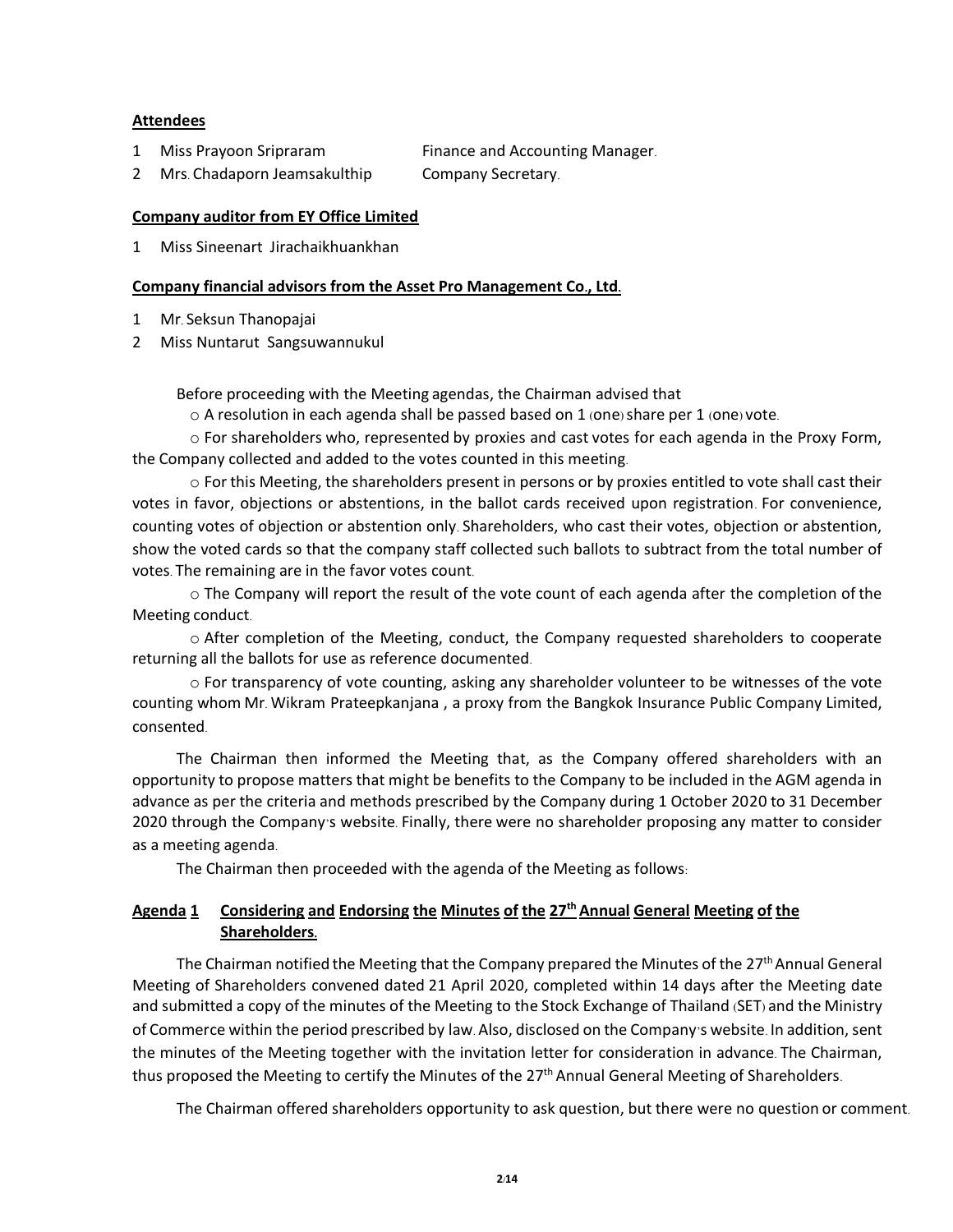### **Attendees**

1 Miss Prayoon Sripraram Finance and Accounting Manager.

2 Mrs. Chadaporn Jeamsakulthip Company Secretary.

### **Company auditor from EY Office Limited**

1 Miss Sineenart Jirachaikhuankhan

### **Company financial advisors from the Asset Pro Management Co., Ltd.**

- 1 Mr. Seksun Thanopajai
- 2 Miss Nuntarut Sangsuwannukul

Before proceeding with the Meeting agendas, the Chairman advised that

 $\circ$  A resolution in each agenda shall be passed based on 1 (one) share per 1 (one) vote.

 $\circ$  For shareholders who, represented by proxies and cast votes for each agenda in the Proxy Form, the Company collected and added to the votes counted in this meeting.

 $\circ$  For this Meeting, the shareholders present in persons or by proxies entitled to vote shall cast their votes in favor, objections or abstentions, in the ballot cards received upon registration. For convenience, counting votes of objection or abstention only. Shareholders, who cast their votes, objection or abstention, show the voted cards so that the company staff collected such ballots to subtract from the total number of votes. The remaining are in the favor votes count.

 $\circ$  The Company will report the result of the vote count of each agenda after the completion of the Meeting conduct.

o After completion of the Meeting, conduct, the Company requested shareholders to cooperate returning all the ballots for use as reference documented.

o For transparency of vote counting, asking any shareholder volunteer to be witnesses of the vote counting whom Mr. Wikram Prateepkanjana , a proxy from the Bangkok Insurance Public Company Limited, consented.

The Chairman then informed the Meeting that, as the Company offered shareholders with an opportunity to propose matters that might be benefits to the Company to be included in the AGM agenda in advance as per the criteria and methods prescribed by the Company during 1 October 2020 to 31 December 2020 through the Company's website. Finally, there were no shareholder proposing any matter to consider as a meeting agenda.

The Chairman then proceeded with the agenda of the Meeting as follows:

# **Agenda 1 Considering and Endorsing the Minutes of the 27th Annual General Meeting of the Shareholders.**

The Chairman notified the Meeting that the Company prepared the Minutes of the  $27<sup>th</sup>$  Annual General Meeting of Shareholders convened dated 21 April 2020, completed within 14 days after the Meeting date and submitted a copy of the minutes of the Meeting to the Stock Exchange of Thailand (SET) and the Ministry of Commerce within the period prescribed by law. Also, disclosed on the Company's website. In addition, sent the minutes of the Meeting together with the invitation letter for consideration in advance. The Chairman, thus proposed the Meeting to certify the Minutes of the 27<sup>th</sup> Annual General Meeting of Shareholders.

The Chairman offered shareholders opportunity to ask question, but there were no question or comment.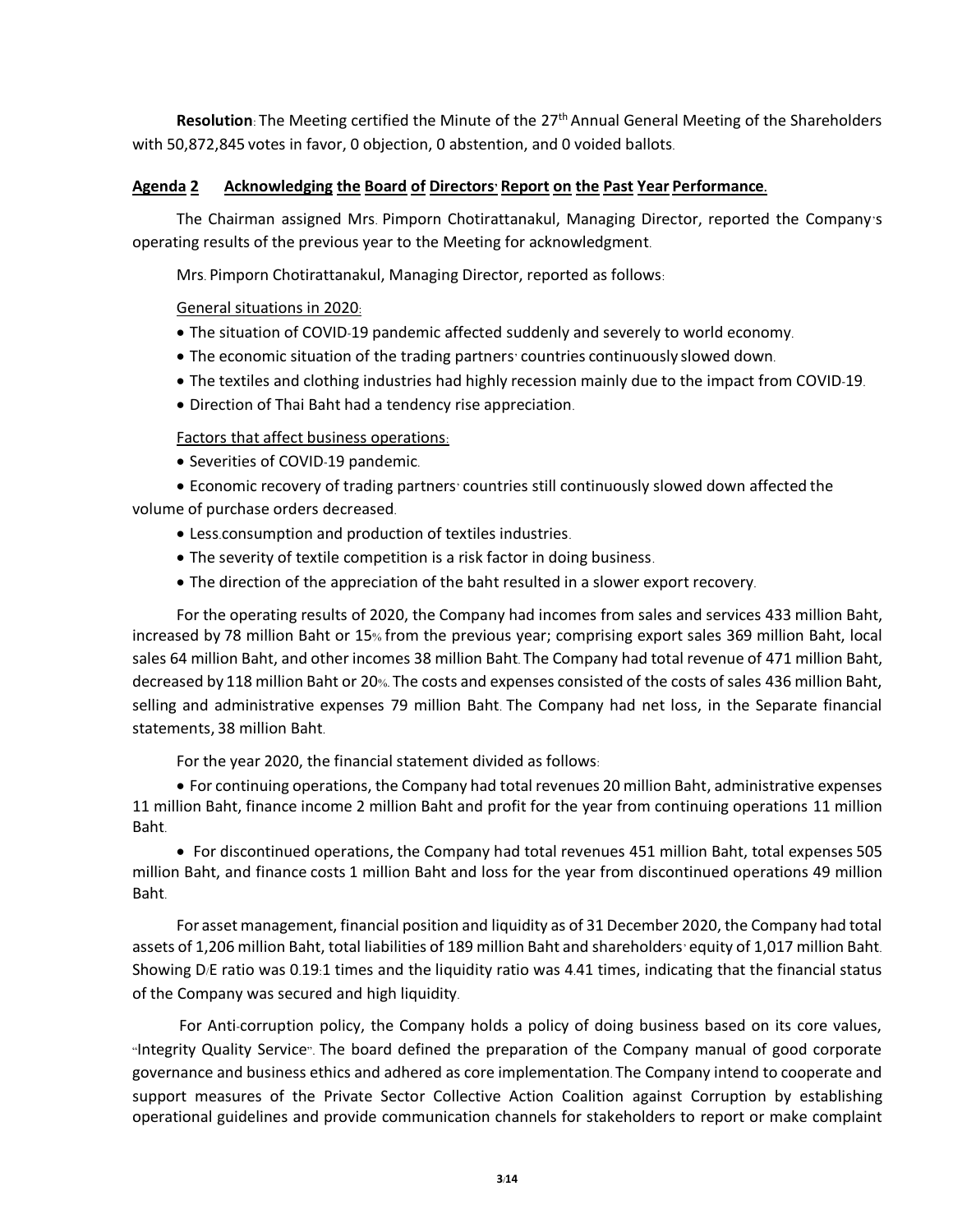Resolution: The Meeting certified the Minute of the 27<sup>th</sup> Annual General Meeting of the Shareholders with 50,872,845 votes in favor, 0 objection, 0 abstention, and 0 voided ballots.

### **Agenda 2 Acknowledging the Board of Directors' Report on the Past Year Performance.**

The Chairman assigned Mrs. Pimporn Chotirattanakul, Managing Director, reported the Company's operating results of the previous year to the Meeting for acknowledgment.

Mrs. Pimporn Chotirattanakul, Managing Director, reported as follows:

## General situations in 2020:

- The situation of COVID-19 pandemic affected suddenly and severely to world economy.
- The economic situation of the trading partners' countries continuously slowed down.
- The textiles and clothing industries had highly recession mainly due to the impact from COVID-19.
- Direction of Thai Baht had a tendency rise appreciation.

## Factors that affect business operations:

• Severities of COVID-19 pandemic.

• Economic recovery of trading partners' countries still continuously slowed down affected the volume of purchase orders decreased.

- Less.consumption and production of textiles industries.
- The severity of textile competition is a risk factor in doing business.
- The direction of the appreciation of the baht resulted in a slower export recovery.

For the operating results of 2020, the Company had incomes from sales and services 433 million Baht, increased by 78 million Baht or 15% from the previous year; comprising export sales 369 million Baht, local sales 64 million Baht, and other incomes 38 million Baht. The Company had total revenue of 471 million Baht, decreased by 118 million Baht or 20%. The costs and expenses consisted of the costs of sales 436 million Baht, selling and administrative expenses 79 million Baht. The Company had net loss, in the Separate financial statements, 38 million Baht.

For the year 2020, the financial statement divided as follows:

• For continuing operations, the Company had total revenues 20 million Baht, administrative expenses 11 million Baht, finance income 2 million Baht and profit for the year from continuing operations 11 million Baht.

• For discontinued operations, the Company had total revenues 451 million Baht, total expenses 505 million Baht, and finance costs 1 million Baht and loss for the year from discontinued operations 49 million Baht.

For asset management, financial position and liquidity as of 31 December 2020, the Company had total assets of 1,206 million Baht, total liabilities of 189 million Baht and shareholders' equity of 1,017 million Baht. Showing D/E ratio was 0.19:1 times and the liquidity ratio was 4.41 times, indicating that the financial status of the Company was secured and high liquidity.

For Anti-corruption policy, the Company holds a policy of doing business based on its core values, "Integrity Quality Service". The board defined the preparation of the Company manual of good corporate governance and business ethics and adhered as core implementation. The Company intend to cooperate and support measures of the Private Sector Collective Action Coalition against Corruption by establishing operational guidelines and provide communication channels for stakeholders to report or make complaint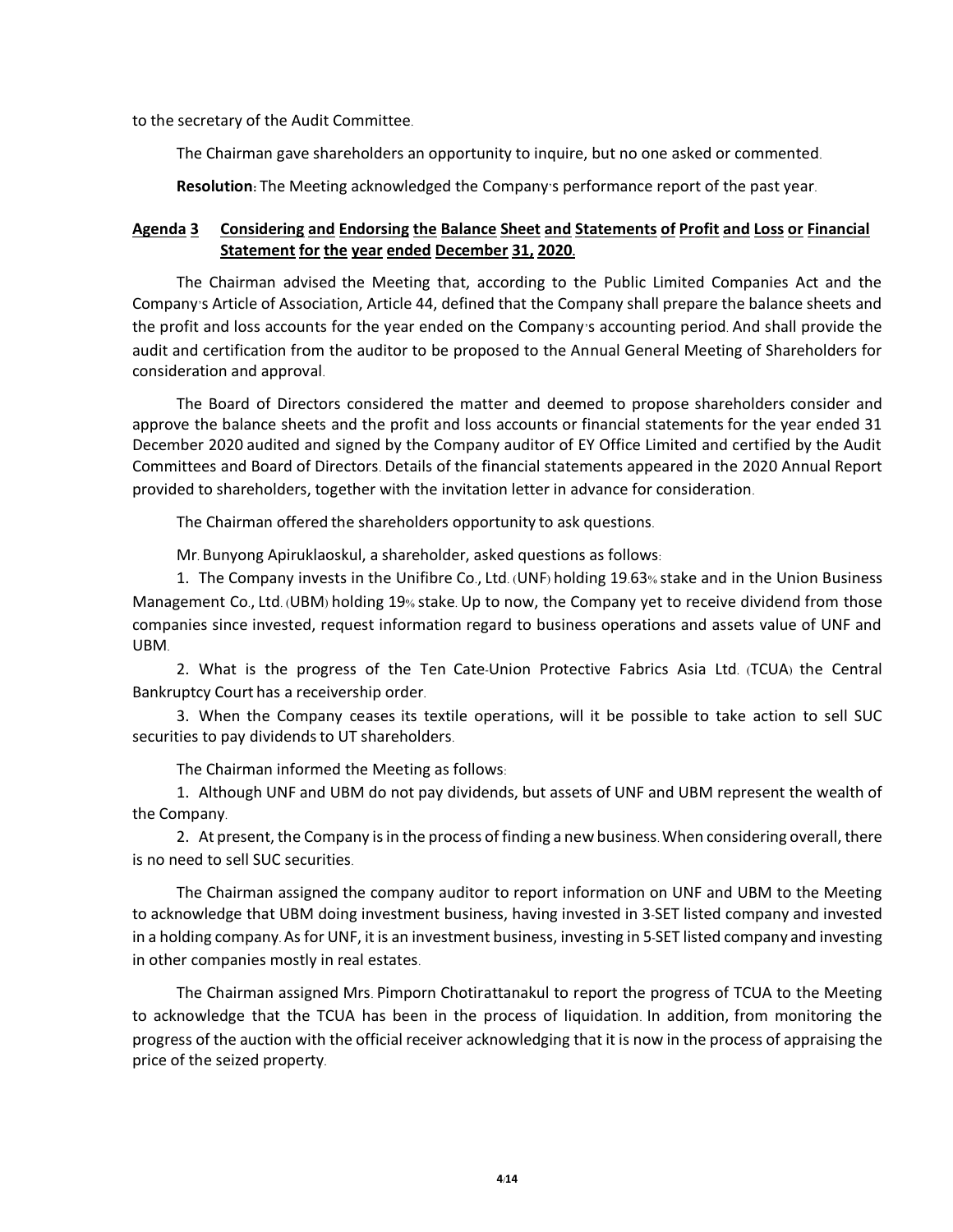to the secretary of the Audit Committee.

The Chairman gave shareholders an opportunity to inquire, but no one asked or commented.

**Resolution:** The Meeting acknowledged the Company's performance report of the past year.

## **Agenda 3 Considering and Endorsing the Balance Sheet and Statements of Profit and Loss or Financial Statement for the year ended December 31, 2020.**

The Chairman advised the Meeting that, according to the Public Limited Companies Act and the Company's Article of Association, Article 44, defined that the Company shall prepare the balance sheets and the profit and loss accounts for the year ended on the Company's accounting period. And shall provide the audit and certification from the auditor to be proposed to the Annual General Meeting of Shareholders for consideration and approval.

The Board of Directors considered the matter and deemed to propose shareholders consider and approve the balance sheets and the profit and loss accounts or financial statements for the year ended 31 December 2020 audited and signed by the Company auditor of EY Office Limited and certified by the Audit Committees and Board of Directors. Details of the financial statements appeared in the 2020 Annual Report provided to shareholders, together with the invitation letter in advance for consideration.

The Chairman offered the shareholders opportunity to ask questions.

Mr. Bunyong Apiruklaoskul, a shareholder, asked questions as follows:

1. The Company invests in the Unifibre Co., Ltd. (UNF) holding 19.63% stake and in the Union Business Management Co., Ltd. (UBM) holding 19% stake. Up to now, the Company yet to receive dividend from those companies since invested, request information regard to business operations and assets value of UNF and UBM.

2. What is the progress of the Ten Cate-Union Protective Fabrics Asia Ltd. (TCUA) the Central Bankruptcy Court has a receivership order.

3. When the Company ceases its textile operations, will it be possible to take action to sell SUC securities to pay dividends to UT shareholders.

The Chairman informed the Meeting as follows:

1. Although UNF and UBM do not pay dividends, but assets of UNF and UBM represent the wealth of the Company.

2. At present, the Company is in the process of finding a new business. When considering overall, there is no need to sell SUC securities.

The Chairman assigned the company auditor to report information on UNF and UBM to the Meeting to acknowledge that UBM doing investment business, having invested in 3-SET listed company and invested in a holding company. As for UNF, it is an investment business, investing in 5-SET listed company and investing in other companies mostly in real estates.

The Chairman assigned Mrs. Pimporn Chotirattanakul to report the progress of TCUA to the Meeting to acknowledge that the TCUA has been in the process of liquidation. In addition, from monitoring the progress of the auction with the official receiver acknowledging that it is now in the process of appraising the price of the seized property.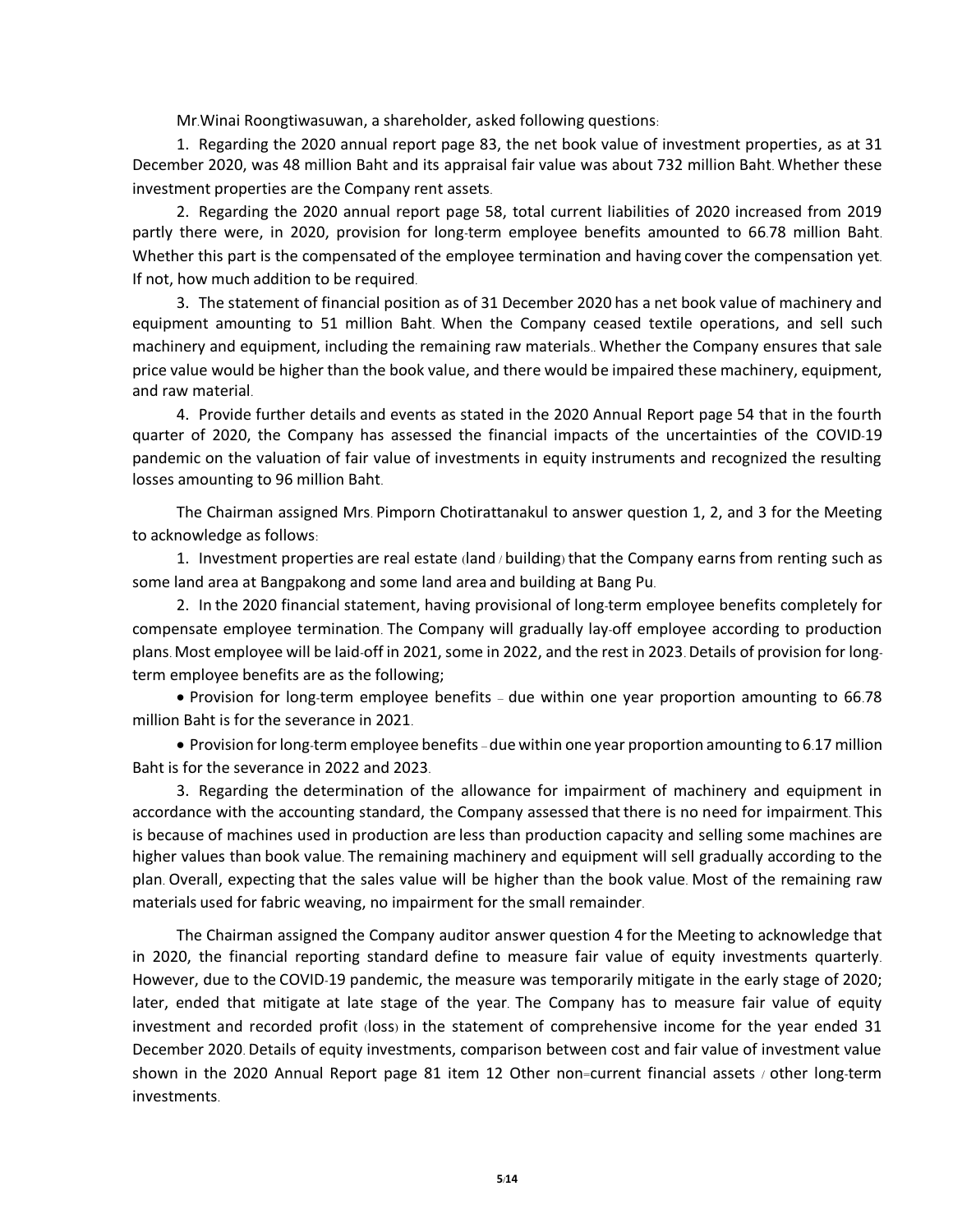Mr.Winai Roongtiwasuwan, a shareholder, asked following questions:

1. Regarding the 2020 annual report page 83, the net book value of investment properties, as at 31 December 2020, was 48 million Baht and its appraisal fair value was about 732 million Baht. Whether these investment properties are the Company rent assets.

2. Regarding the 2020 annual report page 58, total current liabilities of 2020 increased from 2019 partly there were, in 2020, provision for long-term employee benefits amounted to 66.78 million Baht. Whether this part is the compensated of the employee termination and having cover the compensation yet. If not, how much addition to be required.

3. The statement of financial position as of 31 December 2020 has a net book value of machinery and equipment amounting to 51 million Baht. When the Company ceased textile operations, and sell such machinery and equipment, including the remaining raw materials.. Whether the Company ensures that sale price value would be higher than the book value, and there would be impaired these machinery, equipment, and raw material.

4. Provide further details and events as stated in the 2020 Annual Report page 54 that in the fourth quarter of 2020, the Company has assessed the financial impacts of the uncertainties of the COVID-19 pandemic on the valuation of fair value of investments in equity instruments and recognized the resulting losses amounting to 96 million Baht.

The Chairman assigned Mrs. Pimporn Chotirattanakul to answer question 1, 2, and 3 for the Meeting to acknowledge as follows:

1. Investment properties are real estate (land / building) that the Company earnsfrom renting such as some land area at Bangpakong and some land area and building at Bang Pu.

2. In the 2020 financial statement, having provisional of long-term employee benefits completely for compensate employee termination. The Company will gradually lay-off employee according to production plans. Most employee will be laid-off in 2021, some in 2022, and the rest in 2023. Details of provision for longterm employee benefits are as the following;

• Provision for long-term employee benefits – due within one year proportion amounting to 66.78 million Baht is for the severance in 2021.

• Provision for long-term employee benefits –due within one year proportion amounting to 6.17 million Baht is for the severance in 2022 and 2023.

3. Regarding the determination of the allowance for impairment of machinery and equipment in accordance with the accounting standard, the Company assessed that there is no need for impairment. This is because of machines used in production are less than production capacity and selling some machines are higher values than book value. The remaining machinery and equipment will sell gradually according to the plan. Overall, expecting that the sales value will be higher than the book value. Most of the remaining raw materials used for fabric weaving, no impairment for the small remainder.

The Chairman assigned the Company auditor answer question 4 for the Meeting to acknowledge that in 2020, the financial reporting standard define to measure fair value of equity investments quarterly. However, due to the COVID-19 pandemic, the measure was temporarily mitigate in the early stage of 2020; later, ended that mitigate at late stage of the year. The Company has to measure fair value of equity investment and recorded profit (loss) in the statement of comprehensive income for the year ended 31 December 2020. Details of equity investments, comparison between cost and fair value of investment value shown in the 2020 Annual Report page 81 item 12 Other non=current financial assets / other long-term investments.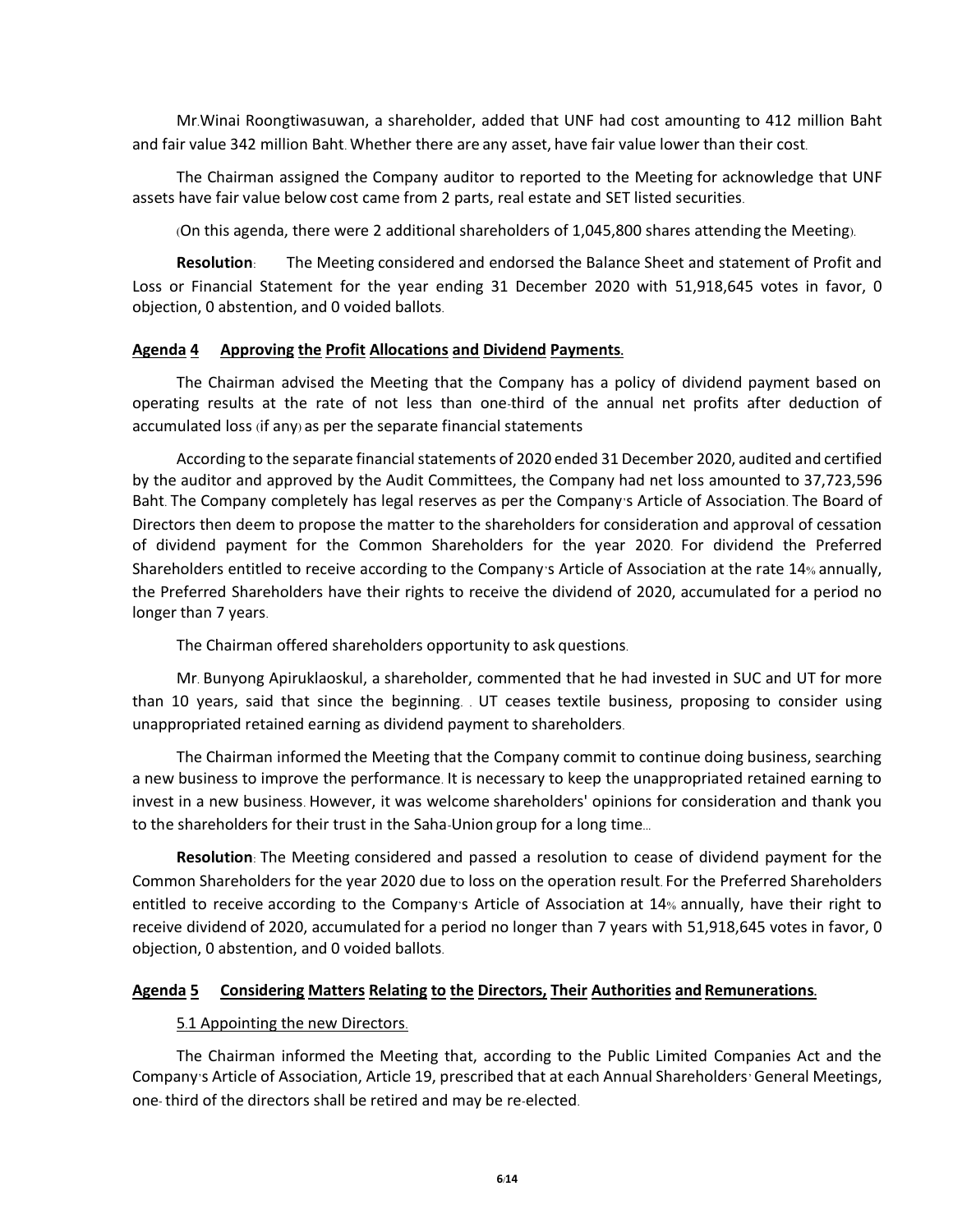Mr.Winai Roongtiwasuwan, a shareholder, added that UNF had cost amounting to 412 million Baht and fair value 342 million Baht. Whether there are any asset, have fair value lower than their cost.

The Chairman assigned the Company auditor to reported to the Meeting for acknowledge that UNF assets have fair value below cost came from 2 parts, real estate and SET listed securities.

(On this agenda, there were 2 additional shareholders of 1,045,800 shares attending the Meeting).

**Resolution**: The Meeting considered and endorsed the Balance Sheet and statement of Profit and Loss or Financial Statement for the year ending 31 December 2020 with 51,918,645 votes in favor, 0 objection, 0 abstention, and 0 voided ballots.

### **Agenda 4 Approving the Profit Allocations and Dividend Payments.**

The Chairman advised the Meeting that the Company has a policy of dividend payment based on operating results at the rate of not less than one-third of the annual net profits after deduction of accumulated loss (if any) as per the separate financial statements

According to the separate financial statements of 2020 ended 31 December 2020, audited and certified by the auditor and approved by the Audit Committees, the Company had net loss amounted to 37,723,596 Baht. The Company completely has legal reserves as per the Company's Article of Association. The Board of Directors then deem to propose the matter to the shareholders for consideration and approval of cessation of dividend payment for the Common Shareholders for the year 2020. For dividend the Preferred Shareholders entitled to receive according to the Company's Article of Association at the rate 14% annually, the Preferred Shareholders have their rights to receive the dividend of 2020, accumulated for a period no longer than 7 years.

The Chairman offered shareholders opportunity to ask questions.

Mr. Bunyong Apiruklaoskul, a shareholder, commented that he had invested in SUC and UT for more than 10 years, said that since the beginning. . UT ceases textile business, proposing to consider using unappropriated retained earning as dividend payment to shareholders.

The Chairman informed the Meeting that the Company commit to continue doing business, searching a new business to improve the performance. It is necessary to keep the unappropriated retained earning to invest in a new business. However, it was welcome shareholders' opinions for consideration and thank you to the shareholders for their trust in the Saha-Union group for a long time...

**Resolution**: The Meeting considered and passed a resolution to cease of dividend payment for the Common Shareholders for the year 2020 due to loss on the operation result. For the Preferred Shareholders entitled to receive according to the Company's Article of Association at 14% annually, have their right to receive dividend of 2020, accumulated for a period no longer than 7 years with 51,918,645 votes in favor, 0 objection, 0 abstention, and 0 voided ballots.

# **Agenda 5 Considering Matters Relating to the Directors, Their Authorities and Remunerations.**

### 5.1 Appointing the new Directors.

The Chairman informed the Meeting that, according to the Public Limited Companies Act and the Company's Article of Association, Article 19, prescribed that at each Annual Shareholders' General Meetings, one-third of the directors shall be retired and may be re-elected.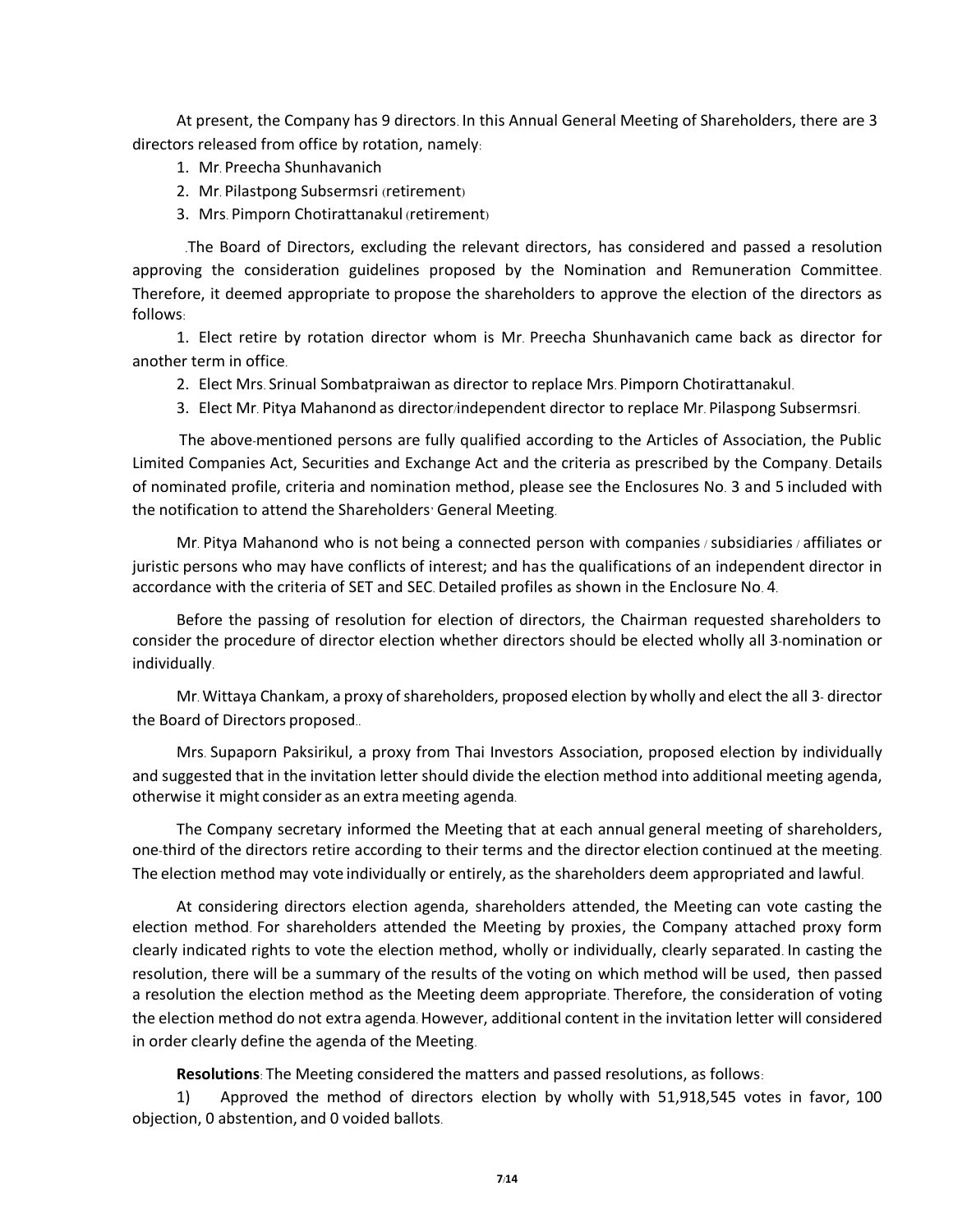At present, the Company has 9 directors. In this Annual General Meeting of Shareholders, there are 3 directors released from office by rotation, namely:

- 1. Mr. Preecha Shunhavanich
- 2. Mr. Pilastpong Subsermsri (retirement)
- 3. Mrs. Pimporn Chotirattanakul (retirement)

 .The Board of Directors, excluding the relevant directors, has considered and passed a resolution approving the consideration guidelines proposed by the Nomination and Remuneration Committee. Therefore, it deemed appropriate to propose the shareholders to approve the election of the directors as follows:

1. Elect retire by rotation director whom is Mr. Preecha Shunhavanich came back as director for another term in office.

- 2. Elect Mrs. Srinual Sombatpraiwan as director to replace Mrs. Pimporn Chotirattanakul.
- 3. Elect Mr. Pitya Mahanond as director/independent director to replace Mr. Pilaspong Subsermsri.

The above-mentioned persons are fully qualified according to the Articles of Association, the Public Limited Companies Act, Securities and Exchange Act and the criteria as prescribed by the Company. Details of nominated profile, criteria and nomination method, please see the Enclosures No. 3 and 5 included with the notification to attend the Shareholders' General Meeting.

Mr. Pitya Mahanond who is not being a connected person with companies / subsidiaries / affiliates or juristic persons who may have conflicts of interest; and has the qualifications of an independent director in accordance with the criteria of SET and SEC. Detailed profiles as shown in the Enclosure No. 4.

Before the passing of resolution for election of directors, the Chairman requested shareholders to consider the procedure of director election whether directors should be elected wholly all 3-nomination or individually.

Mr. Wittaya Chankam, a proxy of shareholders, proposed election by wholly and elect the all 3- director the Board of Directors proposed..

Mrs. Supaporn Paksirikul, a proxy from Thai Investors Association, proposed election by individually and suggested that in the invitation letter should divide the election method into additional meeting agenda, otherwise it might consider as an extrameeting agenda.

The Company secretary informed the Meeting that at each annual general meeting of shareholders, one-third of the directors retire according to their terms and the director election continued at the meeting. The election method may vote individually or entirely, as the shareholders deem appropriated and lawful.

At considering directors election agenda, shareholders attended, the Meeting can vote casting the election method. For shareholders attended the Meeting by proxies, the Company attached proxy form clearly indicated rights to vote the election method, wholly or individually, clearly separated. In casting the resolution, there will be a summary of the results of the voting on which method will be used, then passed a resolution the election method as the Meeting deem appropriate. Therefore, the consideration of voting the election method do not extra agenda. However, additional content in the invitation letter will considered in order clearly define the agenda of the Meeting.

**Resolutions**: The Meeting considered the matters and passed resolutions, as follows:

1) Approved the method of directors election by wholly with 51,918,545 votes in favor, 100 objection, 0 abstention, and 0 voided ballots.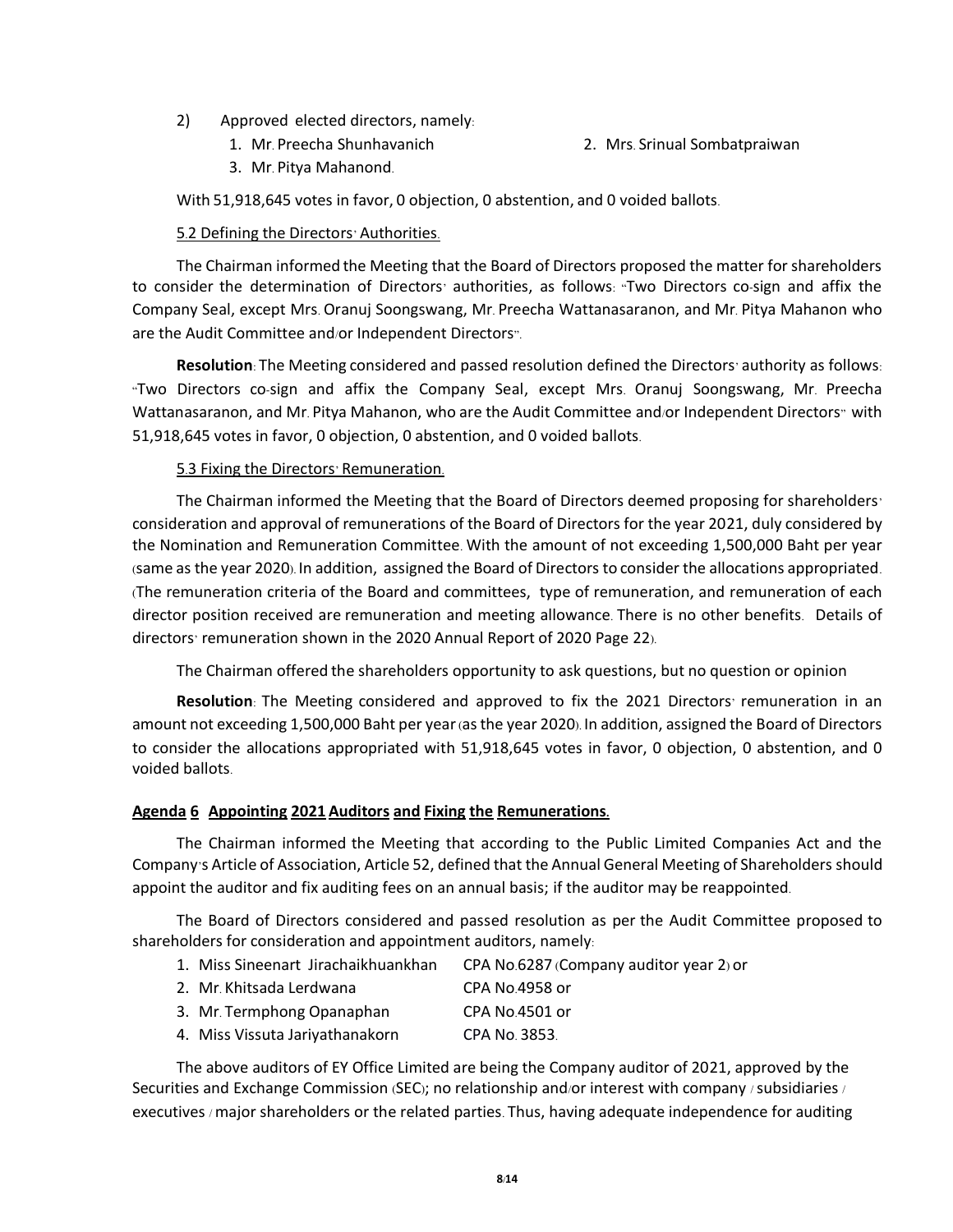- 2) Approved elected directors, namely:
	- 1. Mr. Preecha Shunhavanich 2. Mrs. Srinual Sombatpraiwan
	- 3. Mr. Pitya Mahanond.

With 51,918,645 votes in favor, 0 objection, 0 abstention, and 0 voided ballots.

#### 5.2 Defining the Directors' Authorities.

The Chairman informed the Meeting that the Board of Directors proposed the matter for shareholders to consider the determination of Directors' authorities, as follows: "Two Directors co-sign and affix the Company Seal, except Mrs. Oranuj Soongswang, Mr. Preecha Wattanasaranon, and Mr. Pitya Mahanon who are the Audit Committee and/or Independent Directors".

**Resolution**: The Meeting considered and passed resolution defined the Directors' authority as follows: "Two Directors co-sign and affix the Company Seal, except Mrs. Oranuj Soongswang, Mr. Preecha Wattanasaranon, and Mr. Pitya Mahanon, who are the Audit Committee and/or Independent Directors" with 51,918,645 votes in favor, 0 objection, 0 abstention, and 0 voided ballots.

### 5.3 Fixing the Directors' Remuneration.

The Chairman informed the Meeting that the Board of Directors deemed proposing for shareholders' consideration and approval of remunerations of the Board of Directors for the year 2021, duly considered by the Nomination and Remuneration Committee. With the amount of not exceeding 1,500,000 Baht per year (same as the year 2020). In addition, assigned the Board of Directors to consider the allocations appropriated. (The remuneration criteria of the Board and committees, type of remuneration, and remuneration of each director position received are remuneration and meeting allowance. There is no other benefits. Details of directors' remuneration shown in the 2020 Annual Report of 2020 Page 22).

The Chairman offered the shareholders opportunity to ask questions, but no question or opinion

**Resolution**: The Meeting considered and approved to fix the 2021 Directors' remuneration in an amount not exceeding 1,500,000 Baht per year (as the year 2020). In addition, assigned the Board of Directors to consider the allocations appropriated with 51,918,645 votes in favor, 0 objection, 0 abstention, and 0 voided ballots.

#### **Agenda 6 Appointing 2021 Auditors and Fixing the Remunerations.**

The Chairman informed the Meeting that according to the Public Limited Companies Act and the Company's Article of Association, Article 52, defined that the Annual General Meeting of Shareholders should appoint the auditor and fix auditing fees on an annual basis; if the auditor may be reappointed.

The Board of Directors considered and passed resolution as per the Audit Committee proposed to shareholders for consideration and appointment auditors, namely:

- 1. Miss Sineenart Jirachaikhuankhan CPA No.6287 (Company auditor year 2) or
- 2. Mr. Khitsada Lerdwana CPA No.4958 or
- 3. Mr. Termphong Opanaphan CPA No.4501 or
- 4. Miss Vissuta Jariyathanakorn CPA No. 3853.

The above auditors of EY Office Limited are being the Company auditor of 2021, approved by the Securities and Exchange Commission (SEC); no relationship and/or interest with company /subsidiaries / executives / major shareholders or the related parties. Thus, having adequate independence for auditing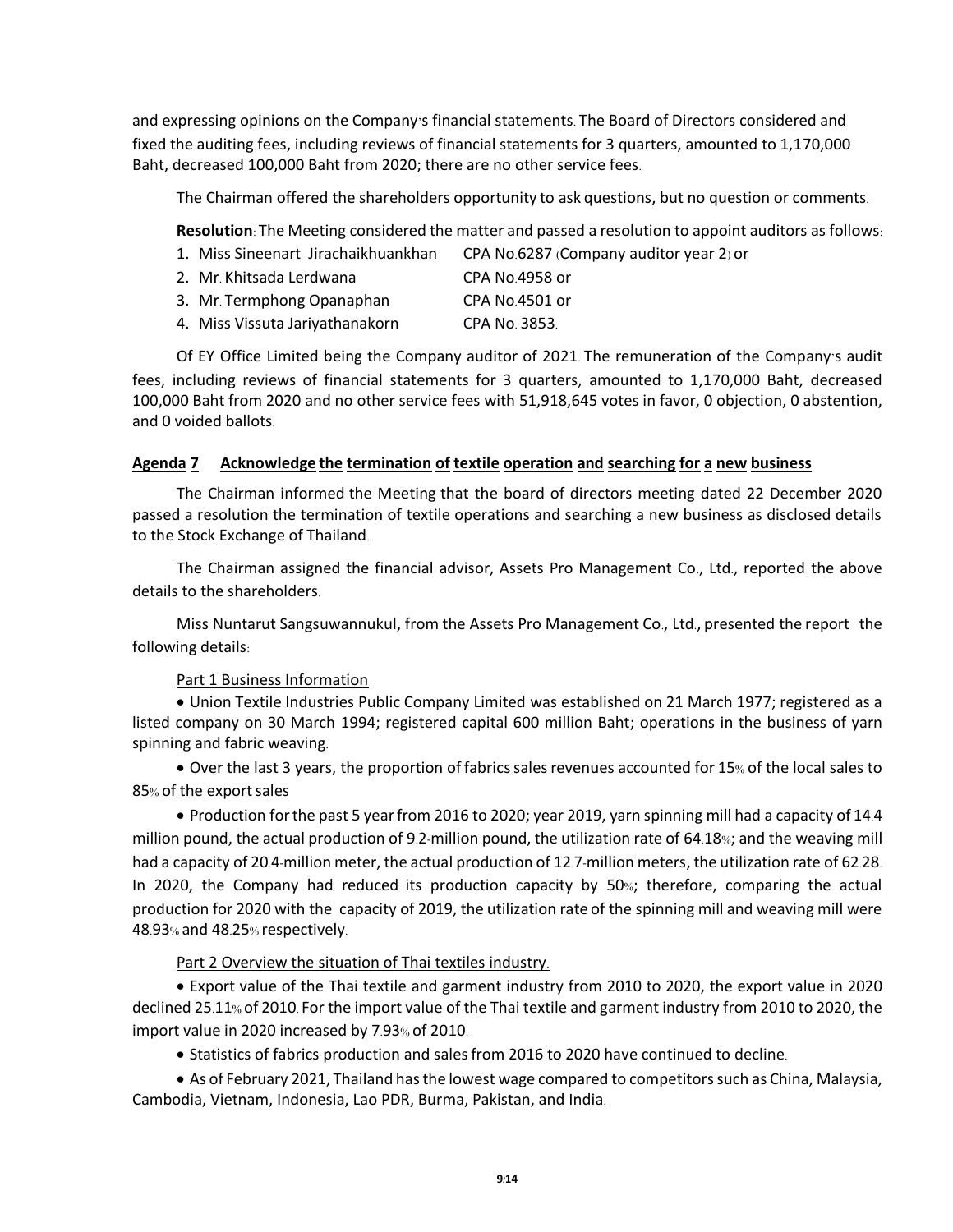and expressing opinions on the Company's financial statements. The Board of Directors considered and fixed the auditing fees, including reviews of financial statements for 3 quarters, amounted to 1,170,000 Baht, decreased 100,000 Baht from 2020; there are no other service fees.

The Chairman offered the shareholders opportunity to ask questions, but no question or comments.

**Resolution**: The Meeting considered the matter and passed a resolution to appoint auditors as follows:

- 1. Miss Sineenart Jirachaikhuankhan CPA No.6287 (Company auditor year 2) or
- 2. Mr. Khitsada Lerdwana CPA No.4958 or
- 3. Mr. Termphong Opanaphan CPA No.4501 or
- 4. Miss Vissuta Jariyathanakorn CPA No. 3853.

Of EY Office Limited being the Company auditor of 2021. The remuneration of the Company's audit fees, including reviews of financial statements for 3 quarters, amounted to 1,170,000 Baht, decreased 100,000 Baht from 2020 and no other service fees with 51,918,645 votes in favor, 0 objection, 0 abstention, and 0 voided ballots.

## **Agenda 7 Acknowledge the termination of textile operation and searching for a new business**

The Chairman informed the Meeting that the board of directors meeting dated 22 December 2020 passed a resolution the termination of textile operations and searching a new business as disclosed details to the Stock Exchange of Thailand.

The Chairman assigned the financial advisor, Assets Pro Management Co., Ltd., reported the above details to the shareholders.

Miss Nuntarut Sangsuwannukul, from the Assets Pro Management Co., Ltd., presented the report the following details:

### Part 1 Business Information

• Union Textile Industries Public Company Limited was established on 21 March 1977; registered as a listed company on 30 March 1994; registered capital 600 million Baht; operations in the business of yarn spinning and fabric weaving.

• Over the last 3 years, the proportion of fabrics sales revenues accounted for 15% of the local sales to 85% of the exportsales

• Production forthe past 5 yearfrom 2016 to 2020; year 2019, yarn spinning mill had a capacity of 14.4 million pound, the actual production of 9.2-million pound, the utilization rate of 64.18%; and the weaving mill had a capacity of 20.4-million meter, the actual production of 12.7-million meters, the utilization rate of 62.28. In 2020, the Company had reduced its production capacity by 50%; therefore, comparing the actual production for 2020 with the capacity of 2019, the utilization rate of the spinning mill and weaving mill were 48.93% and 48.25% respectively.

### Part 2 Overview the situation of Thai textiles industry.

• Export value of the Thai textile and garment industry from 2010 to 2020, the export value in 2020 declined 25.11% of 2010. For the import value of the Thai textile and garment industry from 2010 to 2020, the import value in 2020 increased by 7.93% of 2010.

• Statistics of fabrics production and salesfrom 2016 to 2020 have continued to decline.

• As of February 2021, Thailand has the lowest wage compared to competitors such as China, Malaysia, Cambodia, Vietnam, Indonesia, Lao PDR, Burma, Pakistan, and India.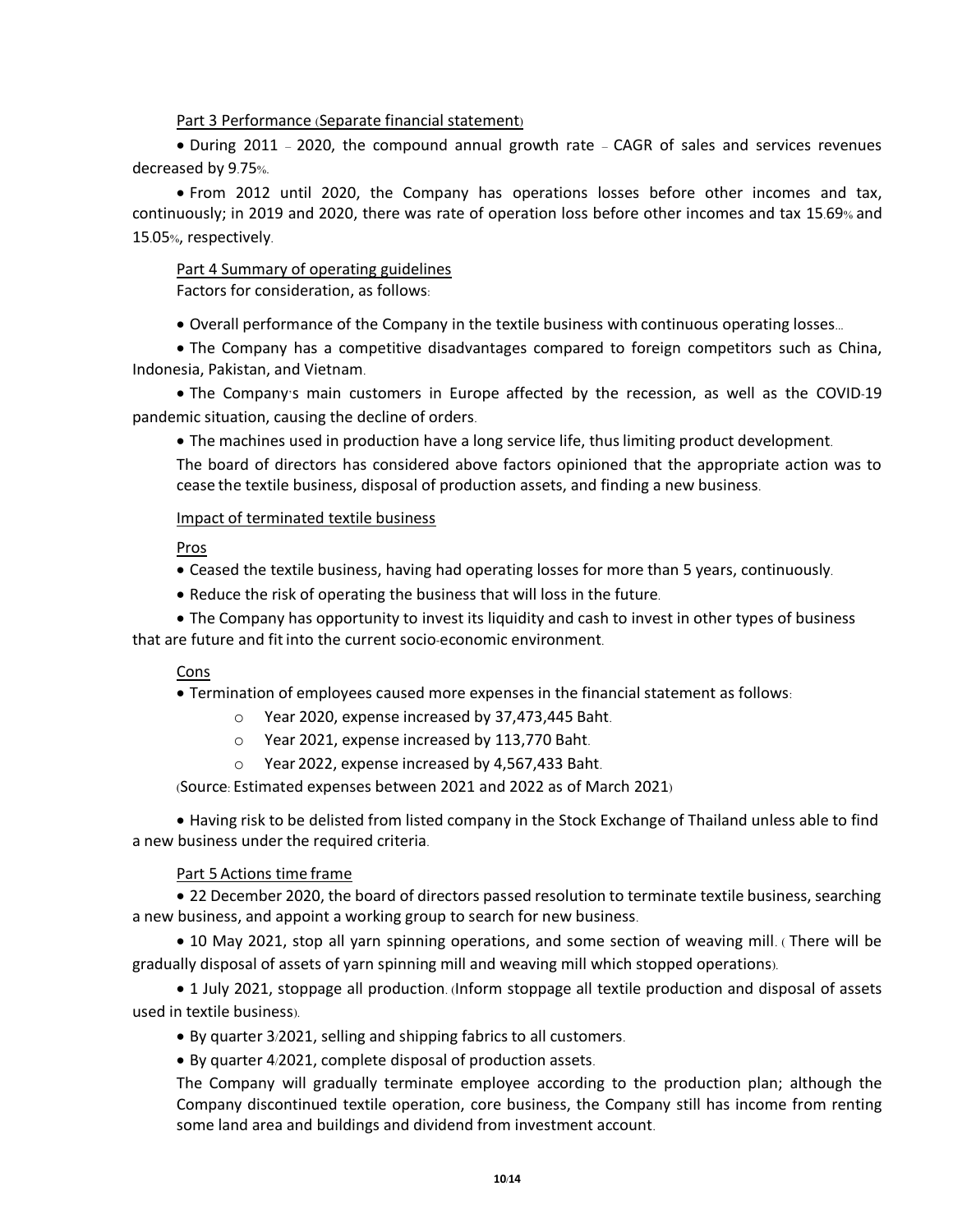### Part 3 Performance (Separate financial statement)

• During 2011 – 2020, the compound annual growth rate – CAGR of sales and services revenues decreased by 9.75%.

• From 2012 until 2020, the Company has operations losses before other incomes and tax, continuously; in 2019 and 2020, there was rate of operation loss before other incomes and tax 15.69% and 15.05%, respectively.

# Part 4 Summary of operating guidelines

Factors for consideration, as follows:

• Overall performance of the Company in the textile business with continuous operating losses...

• The Company has a competitive disadvantages compared to foreign competitors such as China, Indonesia, Pakistan, and Vietnam.

• The Company's main customers in Europe affected by the recession, as well as the COVID-19 pandemic situation, causing the decline of orders.

• The machines used in production have a long service life, thuslimiting product development.

The board of directors has considered above factors opinioned that the appropriate action was to cease the textile business, disposal of production assets, and finding a new business.

## Impact of terminated textile business

Pros

- Ceased the textile business, having had operating losses for more than 5 years, continuously.
- Reduce the risk of operating the business that will loss in the future.

• The Company has opportunity to invest its liquidity and cash to invest in other types of business that are future and fitinto the current socio-economic environment.

### Cons

• Termination of employees caused more expenses in the financial statement as follows:

- o Year 2020, expense increased by 37,473,445 Baht.
- o Year 2021, expense increased by 113,770 Baht.
- o Year 2022, expense increased by 4,567,433 Baht.

(Source: Estimated expenses between 2021 and 2022 as of March 2021)

• Having risk to be delisted from listed company in the Stock Exchange of Thailand unless able to find a new business under the required criteria.

# Part 5 Actions time frame

• 22 December 2020, the board of directors passed resolution to terminate textile business, searching a new business, and appoint a working group to search for new business.

• 10 May 2021, stop all yarn spinning operations, and some section of weaving mill. ( There will be gradually disposal of assets of yarn spinning mill and weaving mill which stopped operations).

• 1 July 2021, stoppage all production. (Inform stoppage all textile production and disposal of assets used in textile business).

- By quarter 3/2021, selling and shipping fabrics to all customers.
- By quarter 4/2021, complete disposal of production assets.

The Company will gradually terminate employee according to the production plan; although the Company discontinued textile operation, core business, the Company still has income from renting some land area and buildings and dividend from investment account.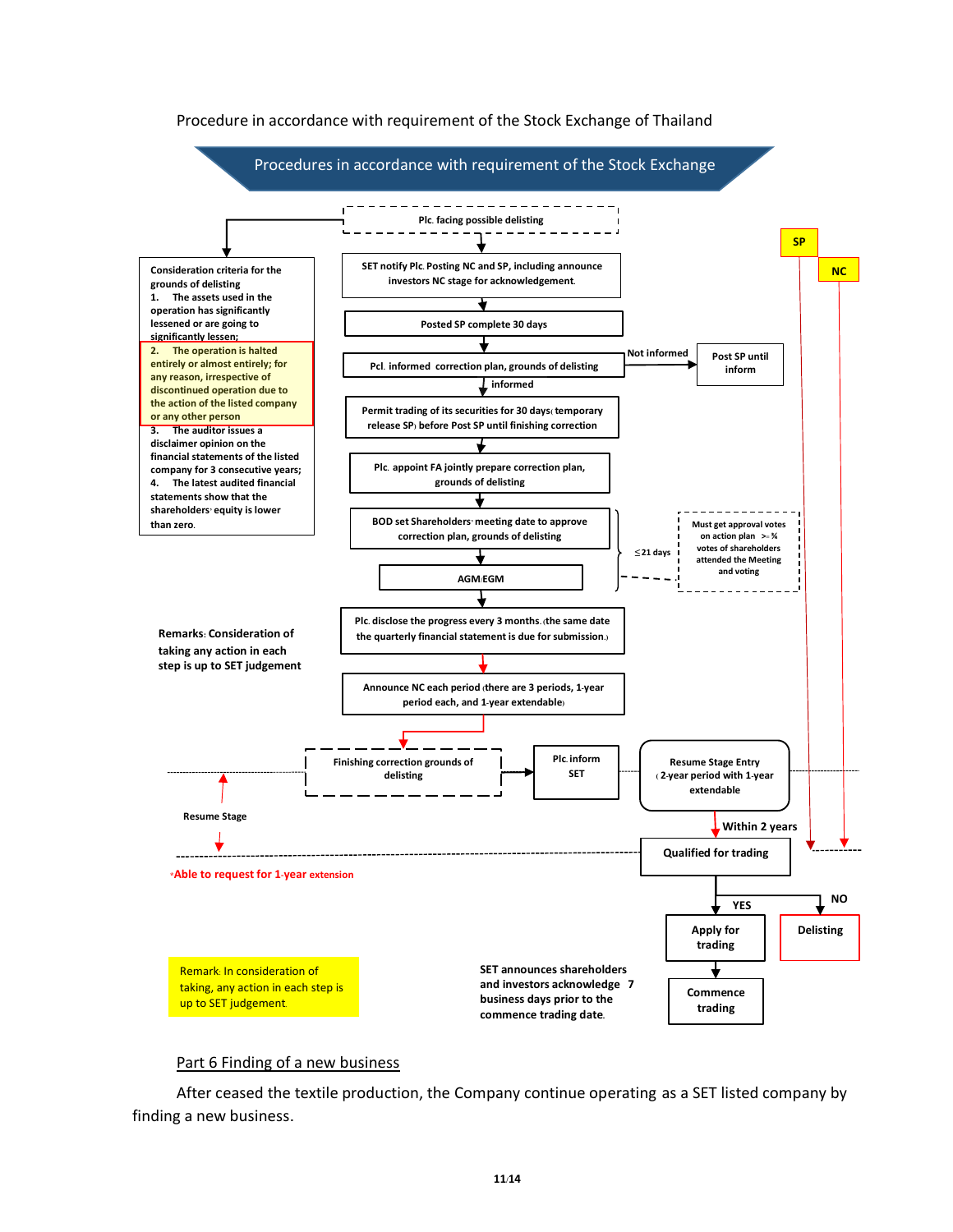

### Procedure in accordance with requirement of the Stock Exchange of Thailand

#### Part 6 Finding of a new business

After ceased the textile production, the Company continue operating as a SET listed company by finding a new business.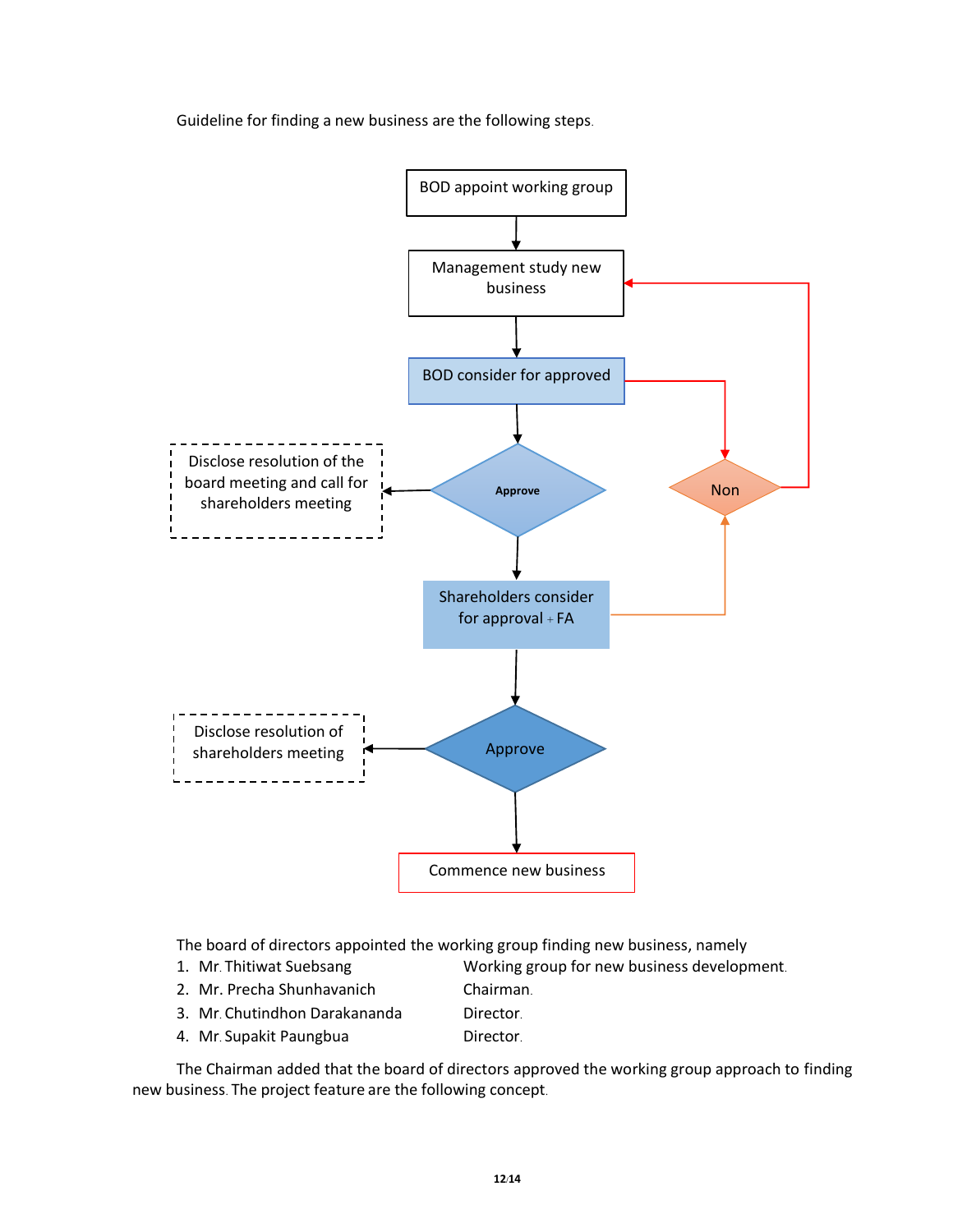

Guideline for finding a new business are the following steps.

The board of directors appointed the working group finding new business, namely

- 
- 1. Mr. Thitiwat Suebsang Working group for new business development.
- 2. Mr. Precha Shunhavanich Chairman.
- 
- 3. Mr. Chutindhon Darakananda Director.
- 4. Mr. Supakit Paungbua **Director.**

The Chairman added that the board of directors approved the working group approach to finding new business. The project feature are the following concept.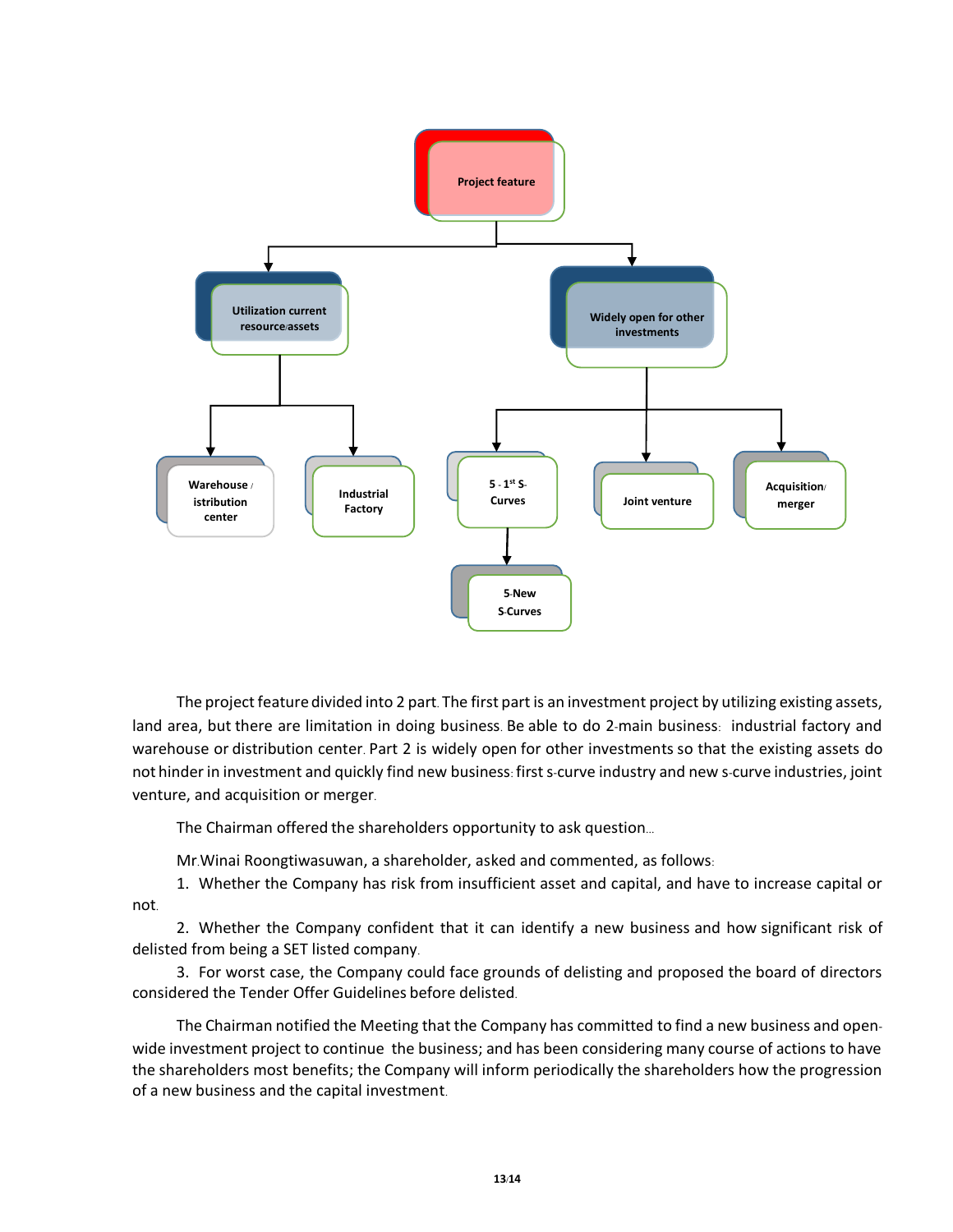

The project feature divided into 2 part. The first part is an investment project by utilizing existing assets, land area, but there are limitation in doing business. Be able to do 2-main business: industrial factory and warehouse or distribution center. Part 2 is widely open for other investments so that the existing assets do not hinder in investment and quickly find new business: first s-curve industry and new s-curve industries, joint venture, and acquisition or merger.

The Chairman offered the shareholders opportunity to ask question...

Mr.Winai Roongtiwasuwan, a shareholder, asked and commented, as follows:

1. Whether the Company has risk from insufficient asset and capital, and have to increase capital or not.

2. Whether the Company confident that it can identify a new business and how significant risk of delisted from being a SET listed company.

3. For worst case, the Company could face grounds of delisting and proposed the board of directors considered the Tender Offer Guidelines before delisted.

The Chairman notified the Meeting that the Company has committed to find a new business and openwide investment project to continue the business; and has been considering many course of actions to have the shareholders most benefits; the Company will inform periodically the shareholders how the progression of a new business and the capital investment.